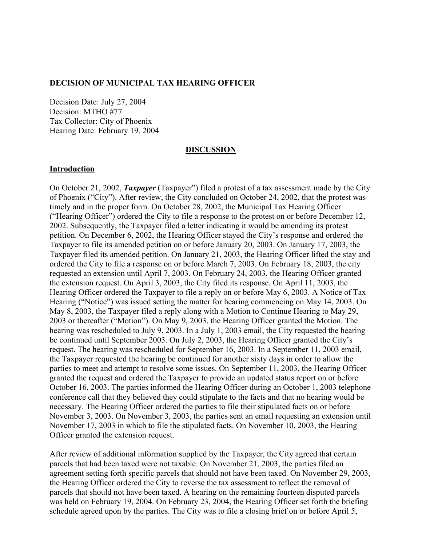#### **DECISION OF MUNICIPAL TAX HEARING OFFICER**

Decision Date: July 27, 2004 Decision: MTHO #77 Tax Collector: City of Phoenix Hearing Date: February 19, 2004

#### **DISCUSSION**

#### **Introduction**

On October 21, 2002, *Taxpayer* (Taxpayer") filed a protest of a tax assessment made by the City of Phoenix ("City"). After review, the City concluded on October 24, 2002, that the protest was timely and in the proper form. On October 28, 2002, the Municipal Tax Hearing Officer ("Hearing Officer") ordered the City to file a response to the protest on or before December 12, 2002. Subsequently, the Taxpayer filed a letter indicating it would be amending its protest petition. On December 6, 2002, the Hearing Officer stayed the City's response and ordered the Taxpayer to file its amended petition on or before January 20, 2003. On January 17, 2003, the Taxpayer filed its amended petition. On January 21, 2003, the Hearing Officer lifted the stay and ordered the City to file a response on or before March 7, 2003. On February 18, 2003, the city requested an extension until April 7, 2003. On February 24, 2003, the Hearing Officer granted the extension request. On April 3, 2003, the City filed its response. On April 11, 2003, the Hearing Officer ordered the Taxpayer to file a reply on or before May 6, 2003. A Notice of Tax Hearing ("Notice") was issued setting the matter for hearing commencing on May 14, 2003. On May 8, 2003, the Taxpayer filed a reply along with a Motion to Continue Hearing to May 29, 2003 or thereafter ("Motion"). On May 9, 2003, the Hearing Officer granted the Motion. The hearing was rescheduled to July 9, 2003. In a July 1, 2003 email, the City requested the hearing be continued until September 2003. On July 2, 2003, the Hearing Officer granted the City's request. The hearing was rescheduled for September 16, 2003. In a September 11, 2003 email, the Taxpayer requested the hearing be continued for another sixty days in order to allow the parties to meet and attempt to resolve some issues. On September 11, 2003, the Hearing Officer granted the request and ordered the Taxpayer to provide an updated status report on or before October 16, 2003. The parties informed the Hearing Officer during an October 1, 2003 telephone conference call that they believed they could stipulate to the facts and that no hearing would be necessary. The Hearing Officer ordered the parties to file their stipulated facts on or before November 3, 2003. On November 3, 2003, the parties sent an email requesting an extension until November 17, 2003 in which to file the stipulated facts. On November 10, 2003, the Hearing Officer granted the extension request.

After review of additional information supplied by the Taxpayer, the City agreed that certain parcels that had been taxed were not taxable. On November 21, 2003, the parties filed an agreement setting forth specific parcels that should not have been taxed. On November 29, 2003, the Hearing Officer ordered the City to reverse the tax assessment to reflect the removal of parcels that should not have been taxed. A hearing on the remaining fourteen disputed parcels was held on February 19, 2004. On February 23, 2004, the Hearing Officer set forth the briefing schedule agreed upon by the parties. The City was to file a closing brief on or before April 5,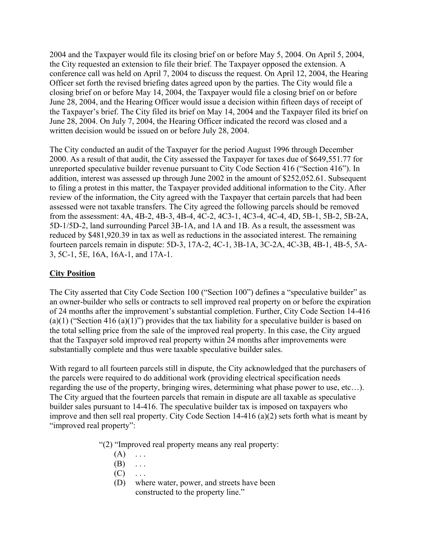2004 and the Taxpayer would file its closing brief on or before May 5, 2004. On April 5, 2004, the City requested an extension to file their brief. The Taxpayer opposed the extension. A conference call was held on April 7, 2004 to discuss the request. On April 12, 2004, the Hearing Officer set forth the revised briefing dates agreed upon by the parties. The City would file a closing brief on or before May 14, 2004, the Taxpayer would file a closing brief on or before June 28, 2004, and the Hearing Officer would issue a decision within fifteen days of receipt of the Taxpayer's brief. The City filed its brief on May 14, 2004 and the Taxpayer filed its brief on June 28, 2004. On July 7, 2004, the Hearing Officer indicated the record was closed and a written decision would be issued on or before July 28, 2004.

The City conducted an audit of the Taxpayer for the period August 1996 through December 2000. As a result of that audit, the City assessed the Taxpayer for taxes due of \$649,551.77 for unreported speculative builder revenue pursuant to City Code Section 416 ("Section 416"). In addition, interest was assessed up through June 2002 in the amount of \$252,052.61. Subsequent to filing a protest in this matter, the Taxpayer provided additional information to the City. After review of the information, the City agreed with the Taxpayer that certain parcels that had been assessed were not taxable transfers. The City agreed the following parcels should be removed from the assessment: 4A, 4B-2, 4B-3, 4B-4, 4C-2, 4C3-1, 4C3-4, 4C-4, 4D, 5B-1, 5B-2, 5B-2A, 5D-1/5D-2, land surrounding Parcel 3B-1A, and 1A and 1B. As a result, the assessment was reduced by \$481,920.39 in tax as well as reductions in the associated interest. The remaining fourteen parcels remain in dispute: 5D-3, 17A-2, 4C-1, 3B-1A, 3C-2A, 4C-3B, 4B-1, 4B-5, 5A-3, 5C-1, 5E, 16A, 16A-1, and 17A-1.

## **City Position**

The City asserted that City Code Section 100 ("Section 100") defines a "speculative builder" as an owner-builder who sells or contracts to sell improved real property on or before the expiration of 24 months after the improvement's substantial completion. Further, City Code Section 14-416 (a)(1) ("Section 416 (a)(1)") provides that the tax liability for a speculative builder is based on the total selling price from the sale of the improved real property. In this case, the City argued that the Taxpayer sold improved real property within 24 months after improvements were substantially complete and thus were taxable speculative builder sales.

With regard to all fourteen parcels still in dispute, the City acknowledged that the purchasers of the parcels were required to do additional work (providing electrical specification needs regarding the use of the property, bringing wires, determining what phase power to use, etc…). The City argued that the fourteen parcels that remain in dispute are all taxable as speculative builder sales pursuant to 14-416. The speculative builder tax is imposed on taxpayers who improve and then sell real property. City Code Section 14-416 (a)(2) sets forth what is meant by "improved real property":

- "(2) "Improved real property means any real property:
	- $(A) \quad \ldots$
	- $(B) \dots$
	- $(C) \quad \ldots$
	- (D) where water, power, and streets have been constructed to the property line."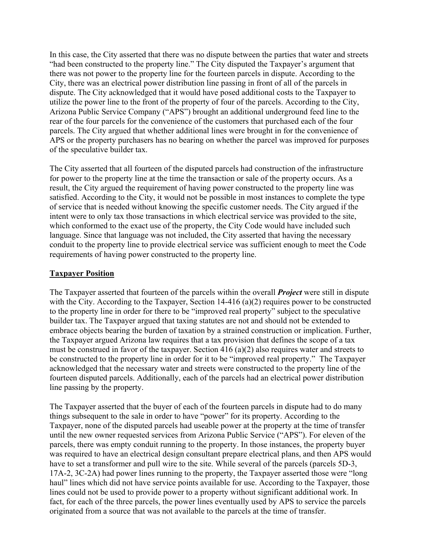In this case, the City asserted that there was no dispute between the parties that water and streets "had been constructed to the property line." The City disputed the Taxpayer's argument that there was not power to the property line for the fourteen parcels in dispute. According to the City, there was an electrical power distribution line passing in front of all of the parcels in dispute. The City acknowledged that it would have posed additional costs to the Taxpayer to utilize the power line to the front of the property of four of the parcels. According to the City, Arizona Public Service Company ("APS") brought an additional underground feed line to the rear of the four parcels for the convenience of the customers that purchased each of the four parcels. The City argued that whether additional lines were brought in for the convenience of APS or the property purchasers has no bearing on whether the parcel was improved for purposes of the speculative builder tax.

The City asserted that all fourteen of the disputed parcels had construction of the infrastructure for power to the property line at the time the transaction or sale of the property occurs. As a result, the City argued the requirement of having power constructed to the property line was satisfied. According to the City, it would not be possible in most instances to complete the type of service that is needed without knowing the specific customer needs. The City argued if the intent were to only tax those transactions in which electrical service was provided to the site, which conformed to the exact use of the property, the City Code would have included such language. Since that language was not included, the City asserted that having the necessary conduit to the property line to provide electrical service was sufficient enough to meet the Code requirements of having power constructed to the property line.

### **Taxpayer Position**

The Taxpayer asserted that fourteen of the parcels within the overall *Project* were still in dispute with the City. According to the Taxpayer, Section 14-416 (a)(2) requires power to be constructed to the property line in order for there to be "improved real property" subject to the speculative builder tax. The Taxpayer argued that taxing statutes are not and should not be extended to embrace objects bearing the burden of taxation by a strained construction or implication. Further, the Taxpayer argued Arizona law requires that a tax provision that defines the scope of a tax must be construed in favor of the taxpayer. Section 416 (a)(2) also requires water and streets to be constructed to the property line in order for it to be "improved real property." The Taxpayer acknowledged that the necessary water and streets were constructed to the property line of the fourteen disputed parcels. Additionally, each of the parcels had an electrical power distribution line passing by the property.

The Taxpayer asserted that the buyer of each of the fourteen parcels in dispute had to do many things subsequent to the sale in order to have "power" for its property. According to the Taxpayer, none of the disputed parcels had useable power at the property at the time of transfer until the new owner requested services from Arizona Public Service ("APS"). For eleven of the parcels, there was empty conduit running to the property. In those instances, the property buyer was required to have an electrical design consultant prepare electrical plans, and then APS would have to set a transformer and pull wire to the site. While several of the parcels (parcels 5D-3, 17A-2, 3C-2A) had power lines running to the property, the Taxpayer asserted those were "long haul" lines which did not have service points available for use. According to the Taxpayer, those lines could not be used to provide power to a property without significant additional work. In fact, for each of the three parcels, the power lines eventually used by APS to service the parcels originated from a source that was not available to the parcels at the time of transfer.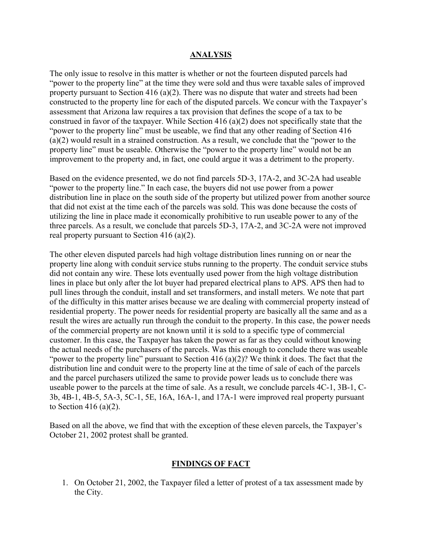### **ANALYSIS**

The only issue to resolve in this matter is whether or not the fourteen disputed parcels had "power to the property line" at the time they were sold and thus were taxable sales of improved property pursuant to Section 416 (a)(2). There was no dispute that water and streets had been constructed to the property line for each of the disputed parcels. We concur with the Taxpayer's assessment that Arizona law requires a tax provision that defines the scope of a tax to be construed in favor of the taxpayer. While Section 416 (a)(2) does not specifically state that the "power to the property line" must be useable, we find that any other reading of Section 416 (a)(2) would result in a strained construction. As a result, we conclude that the "power to the property line" must be useable. Otherwise the "power to the property line" would not be an improvement to the property and, in fact, one could argue it was a detriment to the property.

Based on the evidence presented, we do not find parcels 5D-3, 17A-2, and 3C-2A had useable "power to the property line." In each case, the buyers did not use power from a power distribution line in place on the south side of the property but utilized power from another source that did not exist at the time each of the parcels was sold. This was done because the costs of utilizing the line in place made it economically prohibitive to run useable power to any of the three parcels. As a result, we conclude that parcels 5D-3, 17A-2, and 3C-2A were not improved real property pursuant to Section 416 (a)(2).

The other eleven disputed parcels had high voltage distribution lines running on or near the property line along with conduit service stubs running to the property. The conduit service stubs did not contain any wire. These lots eventually used power from the high voltage distribution lines in place but only after the lot buyer had prepared electrical plans to APS. APS then had to pull lines through the conduit, install and set transformers, and install meters. We note that part of the difficulty in this matter arises because we are dealing with commercial property instead of residential property. The power needs for residential property are basically all the same and as a result the wires are actually run through the conduit to the property. In this case, the power needs of the commercial property are not known until it is sold to a specific type of commercial customer. In this case, the Taxpayer has taken the power as far as they could without knowing the actual needs of the purchasers of the parcels. Was this enough to conclude there was useable "power to the property line" pursuant to Section 416 (a)(2)? We think it does. The fact that the distribution line and conduit were to the property line at the time of sale of each of the parcels and the parcel purchasers utilized the same to provide power leads us to conclude there was useable power to the parcels at the time of sale. As a result, we conclude parcels 4C-1, 3B-1, C-3b, 4B-1, 4B-5, 5A-3, 5C-1, 5E, 16A, 16A-1, and 17A-1 were improved real property pursuant to Section 416 (a)(2).

Based on all the above, we find that with the exception of these eleven parcels, the Taxpayer's October 21, 2002 protest shall be granted.

### **FINDINGS OF FACT**

1. On October 21, 2002, the Taxpayer filed a letter of protest of a tax assessment made by the City.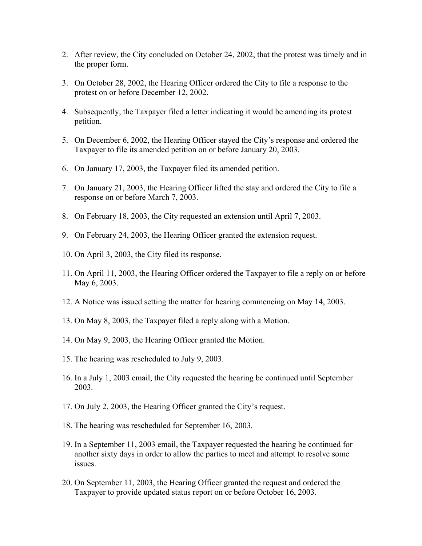- 2. After review, the City concluded on October 24, 2002, that the protest was timely and in the proper form.
- 3. On October 28, 2002, the Hearing Officer ordered the City to file a response to the protest on or before December 12, 2002.
- 4. Subsequently, the Taxpayer filed a letter indicating it would be amending its protest petition.
- 5. On December 6, 2002, the Hearing Officer stayed the City's response and ordered the Taxpayer to file its amended petition on or before January 20, 2003.
- 6. On January 17, 2003, the Taxpayer filed its amended petition.
- 7. On January 21, 2003, the Hearing Officer lifted the stay and ordered the City to file a response on or before March 7, 2003.
- 8. On February 18, 2003, the City requested an extension until April 7, 2003.
- 9. On February 24, 2003, the Hearing Officer granted the extension request.
- 10. On April 3, 2003, the City filed its response.
- 11. On April 11, 2003, the Hearing Officer ordered the Taxpayer to file a reply on or before May 6, 2003.
- 12. A Notice was issued setting the matter for hearing commencing on May 14, 2003.
- 13. On May 8, 2003, the Taxpayer filed a reply along with a Motion.
- 14. On May 9, 2003, the Hearing Officer granted the Motion.
- 15. The hearing was rescheduled to July 9, 2003.
- 16. In a July 1, 2003 email, the City requested the hearing be continued until September 2003.
- 17. On July 2, 2003, the Hearing Officer granted the City's request.
- 18. The hearing was rescheduled for September 16, 2003.
- 19. In a September 11, 2003 email, the Taxpayer requested the hearing be continued for another sixty days in order to allow the parties to meet and attempt to resolve some issues.
- 20. On September 11, 2003, the Hearing Officer granted the request and ordered the Taxpayer to provide updated status report on or before October 16, 2003.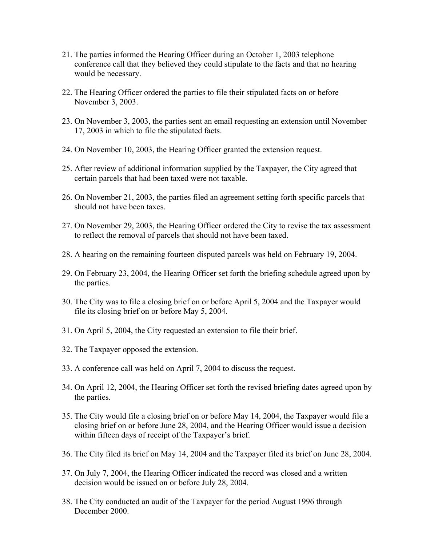- 21. The parties informed the Hearing Officer during an October 1, 2003 telephone conference call that they believed they could stipulate to the facts and that no hearing would be necessary.
- 22. The Hearing Officer ordered the parties to file their stipulated facts on or before November 3, 2003.
- 23. On November 3, 2003, the parties sent an email requesting an extension until November 17, 2003 in which to file the stipulated facts.
- 24. On November 10, 2003, the Hearing Officer granted the extension request.
- 25. After review of additional information supplied by the Taxpayer, the City agreed that certain parcels that had been taxed were not taxable.
- 26. On November 21, 2003, the parties filed an agreement setting forth specific parcels that should not have been taxes.
- 27. On November 29, 2003, the Hearing Officer ordered the City to revise the tax assessment to reflect the removal of parcels that should not have been taxed.
- 28. A hearing on the remaining fourteen disputed parcels was held on February 19, 2004.
- 29. On February 23, 2004, the Hearing Officer set forth the briefing schedule agreed upon by the parties.
- 30. The City was to file a closing brief on or before April 5, 2004 and the Taxpayer would file its closing brief on or before May 5, 2004.
- 31. On April 5, 2004, the City requested an extension to file their brief.
- 32. The Taxpayer opposed the extension.
- 33. A conference call was held on April 7, 2004 to discuss the request.
- 34. On April 12, 2004, the Hearing Officer set forth the revised briefing dates agreed upon by the parties.
- 35. The City would file a closing brief on or before May 14, 2004, the Taxpayer would file a closing brief on or before June 28, 2004, and the Hearing Officer would issue a decision within fifteen days of receipt of the Taxpayer's brief.
- 36. The City filed its brief on May 14, 2004 and the Taxpayer filed its brief on June 28, 2004.
- 37. On July 7, 2004, the Hearing Officer indicated the record was closed and a written decision would be issued on or before July 28, 2004.
- 38. The City conducted an audit of the Taxpayer for the period August 1996 through December 2000.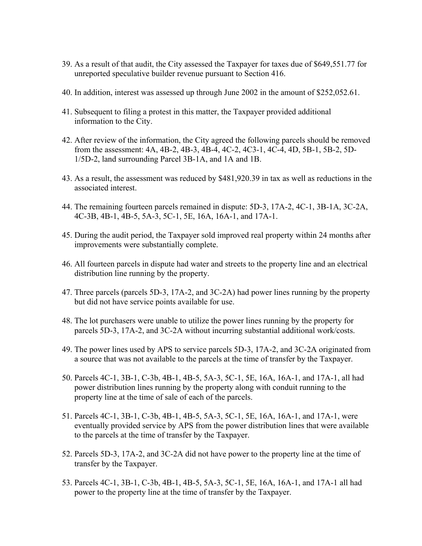- 39. As a result of that audit, the City assessed the Taxpayer for taxes due of \$649,551.77 for unreported speculative builder revenue pursuant to Section 416.
- 40. In addition, interest was assessed up through June 2002 in the amount of \$252,052.61.
- 41. Subsequent to filing a protest in this matter, the Taxpayer provided additional information to the City.
- 42. After review of the information, the City agreed the following parcels should be removed from the assessment: 4A, 4B-2, 4B-3, 4B-4, 4C-2, 4C3-1, 4C-4, 4D, 5B-1, 5B-2, 5D-1/5D-2, land surrounding Parcel 3B-1A, and 1A and 1B.
- 43. As a result, the assessment was reduced by \$481,920.39 in tax as well as reductions in the associated interest.
- 44. The remaining fourteen parcels remained in dispute: 5D-3, 17A-2, 4C-1, 3B-1A, 3C-2A, 4C-3B, 4B-1, 4B-5, 5A-3, 5C-1, 5E, 16A, 16A-1, and 17A-1.
- 45. During the audit period, the Taxpayer sold improved real property within 24 months after improvements were substantially complete.
- 46. All fourteen parcels in dispute had water and streets to the property line and an electrical distribution line running by the property.
- 47. Three parcels (parcels 5D-3, 17A-2, and 3C-2A) had power lines running by the property but did not have service points available for use.
- 48. The lot purchasers were unable to utilize the power lines running by the property for parcels 5D-3, 17A-2, and 3C-2A without incurring substantial additional work/costs.
- 49. The power lines used by APS to service parcels 5D-3, 17A-2, and 3C-2A originated from a source that was not available to the parcels at the time of transfer by the Taxpayer.
- 50. Parcels 4C-1, 3B-1, C-3b, 4B-1, 4B-5, 5A-3, 5C-1, 5E, 16A, 16A-1, and 17A-1, all had power distribution lines running by the property along with conduit running to the property line at the time of sale of each of the parcels.
- 51. Parcels 4C-1, 3B-1, C-3b, 4B-1, 4B-5, 5A-3, 5C-1, 5E, 16A, 16A-1, and 17A-1, were eventually provided service by APS from the power distribution lines that were available to the parcels at the time of transfer by the Taxpayer.
- 52. Parcels 5D-3, 17A-2, and 3C-2A did not have power to the property line at the time of transfer by the Taxpayer.
- 53. Parcels 4C-1, 3B-1, C-3b, 4B-1, 4B-5, 5A-3, 5C-1, 5E, 16A, 16A-1, and 17A-1 all had power to the property line at the time of transfer by the Taxpayer.